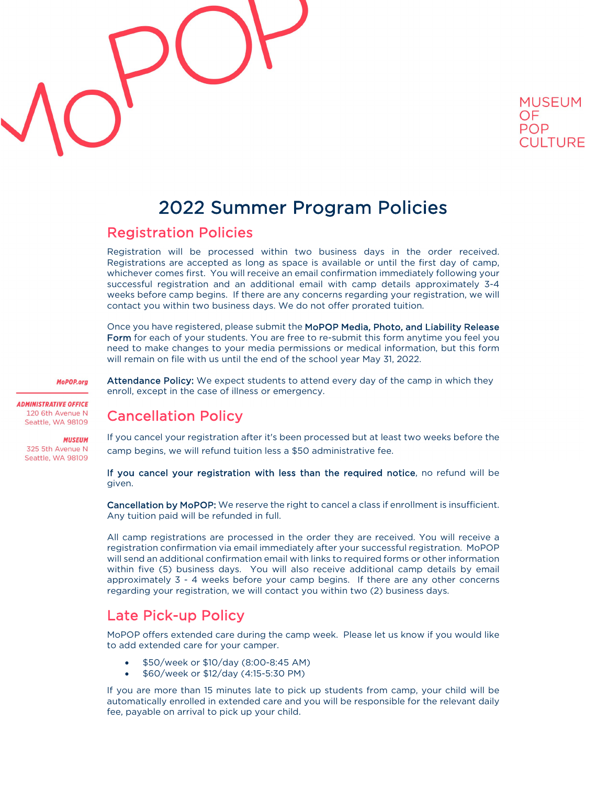



## 2022 Summer Program Policies

## Registration Policies

Registration will be processed within two business days in the order received. Registrations are accepted as long as space is available or until the first day of camp, whichever comes first. You will receive an email confirmation immediately following your successful registration and an additional email with camp details approximately 3-4 weeks before camp begins. If there are any concerns regarding your registration, we will contact you within two business days. We do not offer prorated tuition.

Once you have registered, please submit the MoPOP Media, Photo, and Liability Release Form for each of your students. You are free to re-submit this form anytime you feel you need to make changes to your media permissions or medical information, but this form will remain on file with us until the end of the school year May 31, 2022.

MoPOP.org

**ADMINISTRATIVE OFFICE** 120 6th Avenue N Seattle, WA 98109

**MUSEUM** 325 5th Avenue N Seattle, WA 98109 Attendance Policy: We expect students to attend every day of the camp in which they enroll, except in the case of illness or emergency.

## Cancellation Policy

If you cancel your registration after it's been processed but at least two weeks before the camp begins, we will refund tuition less a \$50 administrative fee.

If you cancel your registration with less than the required notice, no refund will be given.

Cancellation by MoPOP: We reserve the right to cancel a class if enrollment is insufficient. Any tuition paid will be refunded in full.

All camp registrations are processed in the order they are received. You will receive a registration confirmation via email immediately after your successful registration. MoPOP will send an additional confirmation email with links to required forms or other information within five (5) business days. You will also receive additional camp details by email approximately 3 - 4 weeks before your camp begins. If there are any other concerns regarding your registration, we will contact you within two (2) business days.

## Late Pick-up Policy

MoPOP offers extended care during the camp week. Please let us know if you would like to add extended care for your camper.

- \$50/week or \$10/day (8:00-8:45 AM)
- \$60/week or \$12/day (4:15-5:30 PM)

If you are more than 15 minutes late to pick up students from camp, your child will be automatically enrolled in extended care and you will be responsible for the relevant daily fee, payable on arrival to pick up your child.